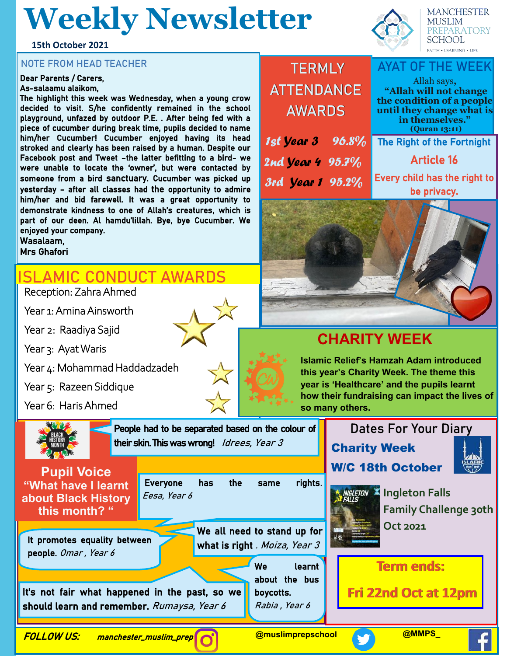# **Weekly Newsletter**

**15th October 2021**

#### **NOTE FROM HEAD TEACHER**

#### Dear Parents / Carers,

#### As-salaamu alaikom,

The highlight this week was Wednesday, when a young crow decided to visit. S/he confidently remained in the school playground, unfazed by outdoor P.E. . After being fed with a piece of cucumber during break time, pupils decided to name him/her Cucumber! Cucumber enjoyed having its head stroked and clearly has been raised by a human. Despite our Facebook post and Tweet –the latter befitting to a bird- we were unable to locate the 'owner', but were contacted by someone from a bird sanctuary. Cucumber was picked up yesterday – after all classes had the opportunity to admire him/her and bid farewell. It was a great opportunity to demonstrate kindness to one of Allah's creatures, which is part of our deen. Al hamdu'lillah. Bye, bye Cucumber. We enjoyed your company. Wasalaam,

Mrs Ghafori

## **ISLAMIC CONDUCT AWARDS**

Reception: Zahra Ahmed

Year 1: Amina Ainsworth

Year 2: Raadiya Sajid

Year 3: Ayat Waris

Year 4: Mohammad Haddadzadeh

Year 5: Razeen Siddique

Year 6: Haris Ahmed



| Everyone has the same |  | rights. |
|-----------------------|--|---------|
| Eesa, Year 6          |  |         |

It promotes equality between people. Omar , Year 6

We all need to stand up for what is right . Moiza, Year 3

It's not fair what happened in the past, so we should learn and remember. Rumaysa, Year 6



Rabia , Year 6

| TERMLY        |
|---------------|
| ATTENDANCE    |
| <b>AWARDS</b> |

1st Year 3 96.8% 2nd Vear 4 95.7% 3rd Year 1 95.2%



### Allah says**, "Allah will not change the condition of a people until they change what is in themselves." (Quran 13:11)** The Right of the Fortnight Article 16 Every child has the right to



## **CHARITY WEEK**

**Islamic Relief's Hamzah Adam introduced this year's Charity Week. The theme this year is 'Healthcare' and the pupils learnt how their fundraising can impact the lives of so many others.**

> **Dates For Your Diary** Charity Week W/C 18th October





**Ingleton Falls Family Challenge 30th Oct 2021**

### **Term ends:**

**Fri 22nd Oct at 12pm**

FOLLOW US: manchester\_muslim\_prep

**@muslimprepschool @MMPS\_**